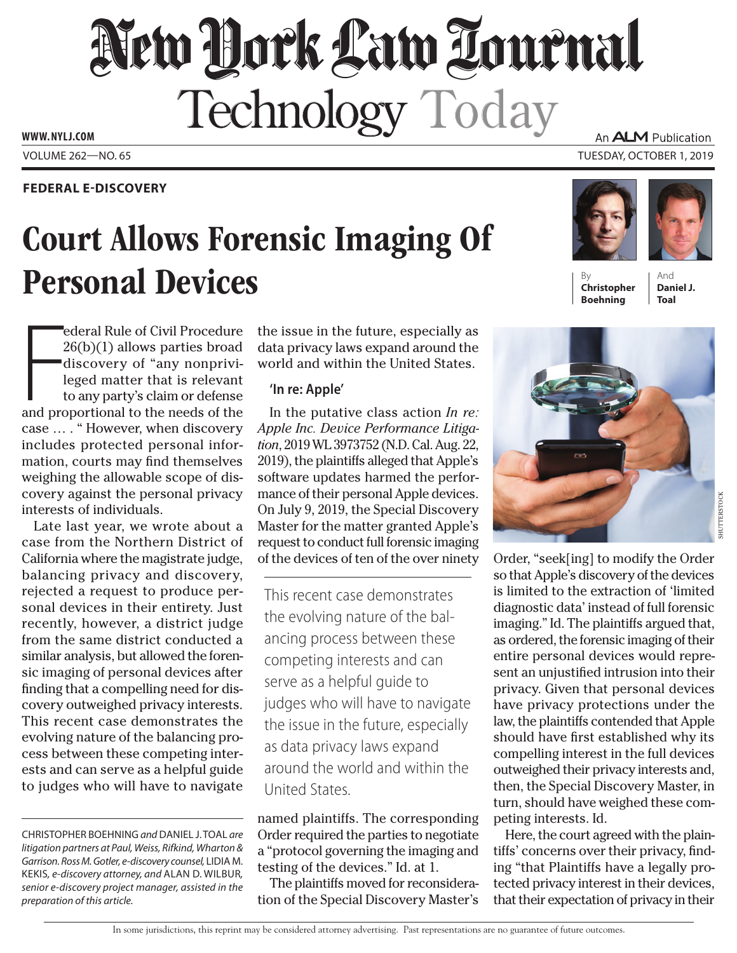# New York Law Tournal Technology Today

**www. NYLJ.com**

# **Federal E-Discovery**

# Court Allows Forensic Imaging Of **Personal Devices**

An **ALM** Publication

Volume 262—NO. 65 Tuesday, October 1, 2019

# **Christopher Boehning**

And **Daniel J. Toal**

ederal Rule of Civil Procedure<br>26(b)(1) allows parties broad<br>discovery of "any nonprivi-<br>leged matter that is relevant<br>to any party's claim or defense<br>and proportional to the needs of the ederal Rule of Civil Procedure 26(b)(1) allows parties broad discovery of "any nonprivileged matter that is relevant to any party's claim or defense case … . " However, when discovery includes protected personal information, courts may find themselves weighing the allowable scope of discovery against the personal privacy interests of individuals.

Late last year, we wrote about a case from the Northern District of California where the magistrate judge, balancing privacy and discovery, rejected a request to produce personal devices in their entirety. Just recently, however, a district judge from the same district conducted a similar analysis, but allowed the forensic imaging of personal devices after finding that a compelling need for discovery outweighed privacy interests. This recent case demonstrates the evolving nature of the balancing process between these competing interests and can serve as a helpful guide to judges who will have to navigate

the issue in the future, especially as data privacy laws expand around the world and within the United States.

## **'In re: Apple'**

In the putative class action *In re: Apple Inc. Device Performance Litigation*, 2019 WL 3973752 (N.D. Cal. Aug. 22, 2019), the plaintiffs alleged that Apple's software updates harmed the performance of their personal Apple devices. On July 9, 2019, the Special Discovery Master for the matter granted Apple's request to conduct full forensic imaging of the devices of ten of the over ninety

This recent case demonstrates the evolving nature of the balancing process between these competing interests and can serve as a helpful guide to judges who will have to navigate the issue in the future, especially as data privacy laws expand around the world and within the United States.

named plaintiffs. The corresponding Order required the parties to negotiate a "protocol governing the imaging and testing of the devices." Id. at 1.

The plaintiffs moved for reconsideration of the Special Discovery Master's



Order, "seek[ing] to modify the Order so that Apple's discovery of the devices is limited to the extraction of 'limited diagnostic data' instead of full forensic imaging." Id. The plaintiffs argued that, as ordered, the forensic imaging of their entire personal devices would represent an unjustified intrusion into their privacy. Given that personal devices have privacy protections under the law, the plaintiffs contended that Apple should have first established why its compelling interest in the full devices outweighed their privacy interests and, then, the Special Discovery Master, in turn, should have weighed these competing interests. Id.

Here, the court agreed with the plaintiffs' concerns over their privacy, finding "that Plaintiffs have a legally protected privacy interest in their devices, that their expectation of privacy in their

Christopher Boehning *and* Daniel J. Toal *are litigation partners at Paul, Weiss, Rifkind, Wharton &*  Garrison. Ross M. Gotler, e-discovery counsel, LIDIA M. Kekis*, e-discovery attorney, and* Alan D. Wilbur*, senior e-discovery project manager, assisted in the preparation of this article.*